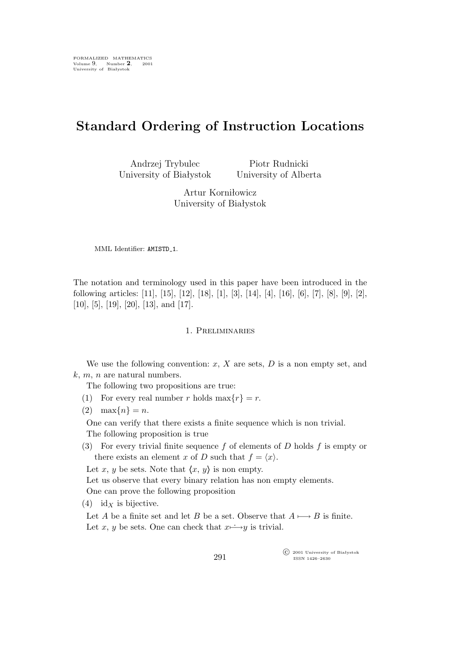# **Standard Ordering of Instruction Locations**

Andrzej Trybulec University of Białystok

Piotr Rudnicki University of Alberta

Artur Korniłowicz University of Białystok

MML Identifier: AMISTD<sub>-1</sub>.

The notation and terminology used in this paper have been introduced in the following articles: [11], [15], [12], [18], [1], [3], [14], [4], [16], [6], [7], [8], [9], [2], [10], [5], [19], [20], [13], and [17].

## 1. Preliminaries

We use the following convention:  $x$ ,  $X$  are sets,  $D$  is a non empty set, and  $k, m, n$  are natural numbers.

The following two propositions are true:

- (1) For every real number r holds max $\{r\} = r$ .
- (2)  $\max\{n\} = n$ .

One can verify that there exists a finite sequence which is non trivial. The following proposition is true

(3) For every trivial finite sequence f of elements of D holds f is empty or there exists an element x of D such that  $f = \langle x \rangle$ .

Let x, y be sets. Note that  $\langle x, y \rangle$  is non empty.

Let us observe that every binary relation has non empty elements.

One can prove the following proposition

(4) id<sub>X</sub> is bijective.

Let A be a finite set and let B be a set. Observe that  $A \rightarrow B$  is finite. Let x, y be sets. One can check that  $x \mapsto y$  is trivial.

> °c 2001 University of Białystok ISSN 1426–2630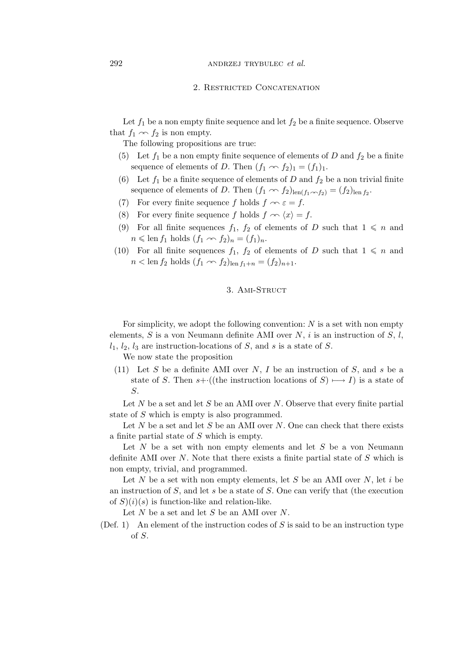#### 2. Restricted Concatenation

Let  $f_1$  be a non empty finite sequence and let  $f_2$  be a finite sequence. Observe that  $f_1 \sim f_2$  is non empty.

The following propositions are true:

- (5) Let  $f_1$  be a non empty finite sequence of elements of D and  $f_2$  be a finite sequence of elements of D. Then  $(f_1 \nightharpoonup f_2)_1 = (f_1)_1$ .
- (6) Let  $f_1$  be a finite sequence of elements of D and  $f_2$  be a non trivial finite sequence of elements of D. Then  $(f_1 \nightharpoonup f_2)_{\text{len}(f_1 \nightharpoonup f_2)} = (f_2)_{\text{len} f_2}$ .
- (7) For every finite sequence f holds  $f \nightharpoonup \varepsilon = f$ .
- (8) For every finite sequence f holds  $f \sim \langle x \rangle = f$ .
- (9) For all finite sequences  $f_1$ ,  $f_2$  of elements of D such that  $1 \leq n$  and  $n \leqslant \text{len } f_1 \text{ holds } (f_1 \sim f_2)_n = (f_1)_n.$
- (10) For all finite sequences  $f_1$ ,  $f_2$  of elements of D such that  $1 \leq n$  and  $n < \text{len } f_2 \text{ holds } (f_1 \sim f_2)_{\text{len } f_1 + n} = (f_2)_{n+1}.$

# 3. AMI-STRUCT

For simplicity, we adopt the following convention:  $N$  is a set with non empty elements, S is a von Neumann definite AMI over  $N$ , i is an instruction of S, l,  $l_1, l_2, l_3$  are instruction-locations of S, and s is a state of S.

We now state the proposition

(11) Let S be a definite AMI over N, I be an instruction of S, and s be a state of S. Then  $s+·((the instruction locations of S) \rightarrow I)$  is a state of S.

Let  $N$  be a set and let  $S$  be an AMI over  $N$ . Observe that every finite partial state of S which is empty is also programmed.

Let  $N$  be a set and let  $S$  be an AMI over  $N$ . One can check that there exists a finite partial state of S which is empty.

Let  $N$  be a set with non empty elements and let  $S$  be a von Neumann definite AMI over  $N$ . Note that there exists a finite partial state of  $S$  which is non empty, trivial, and programmed.

Let N be a set with non empty elements, let S be an AMI over N, let i be an instruction of S, and let s be a state of S. One can verify that (the execution of  $S(i)(s)$  is function-like and relation-like.

Let  $N$  be a set and let  $S$  be an AMI over  $N$ .

(Def. 1) An element of the instruction codes of  $S$  is said to be an instruction type of S.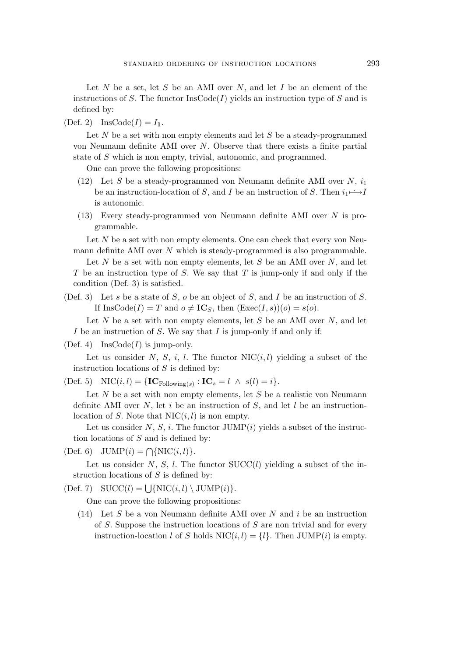Let  $N$  be a set, let  $S$  be an AMI over  $N$ , and let  $I$  be an element of the instructions of S. The functor  $\text{InsCode}(I)$  yields an instruction type of S and is defined by:

(Def. 2) InsCode( $I$ ) =  $I_1$ .

Let  $N$  be a set with non empty elements and let  $S$  be a steady-programmed von Neumann definite AMI over N. Observe that there exists a finite partial state of S which is non empty, trivial, autonomic, and programmed.

One can prove the following propositions:

- (12) Let S be a steady-programmed von Neumann definite AMI over N,  $i_1$ be an instruction-location of S, and I be an instruction of S. Then  $i_1 \rightarrow i_1$ is autonomic.
- (13) Every steady-programmed von Neumann definite AMI over N is programmable.

Let  $N$  be a set with non empty elements. One can check that every von Neumann definite AMI over  $N$  which is steady-programmed is also programmable.

Let N be a set with non empty elements, let S be an AMI over N, and let  $T$  be an instruction type of  $S$ . We say that  $T$  is jump-only if and only if the condition (Def. 3) is satisfied.

(Def. 3) Let s be a state of S, o be an object of S, and I be an instruction of S. If  $\text{InsCode}(I) = T$  and  $o \neq \text{IC}_S$ , then  $(\text{Exec}(I, s))(o) = s(o)$ .

Let  $N$  be a set with non empty elements, let  $S$  be an AMI over  $N$ , and let I be an instruction of  $S$ . We say that I is jump-only if and only if:

(Def. 4) Ins $\text{Code}(I)$  is jump-only.

Let us consider N, S, i, l. The functor  $NIC(i, l)$  yielding a subset of the instruction locations of  $S$  is defined by:

 $(Def. 5) \quad \text{NIC}(i, l) = \{ \mathbf{IC}_{\text{Following}(s)} : \mathbf{IC}_s = l \ \land \ s(l) = i \}.$ 

Let  $N$  be a set with non empty elements, let  $S$  be a realistic von Neumann definite AMI over N, let i be an instruction of S, and let l be an instructionlocation of S. Note that  $NIC(i, l)$  is non empty.

Let us consider N, S, i. The functor  $JUMP(i)$  yields a subset of the instruction locations of  $S$  and is defined by:

 $(Def. 6)$   $JUMP(i) = \bigcap \{NIC(i, l)\}.$ 

Let us consider  $N, S, l$ . The functor  $SUCC(l)$  yielding a subset of the instruction locations of  $S$  is defined by:

 $(Def. 7) \quad \text{SUCC}(l) = \bigcup \{\text{NIC}(i, l) \setminus \text{JUMP}(i)\}.$ 

One can prove the following propositions:

(14) Let S be a von Neumann definite AMI over N and  $i$  be an instruction of  $S$ . Suppose the instruction locations of  $S$  are non trivial and for every instruction-location l of S holds  $NIC(i, l) = \{l\}$ . Then JUMP(i) is empty.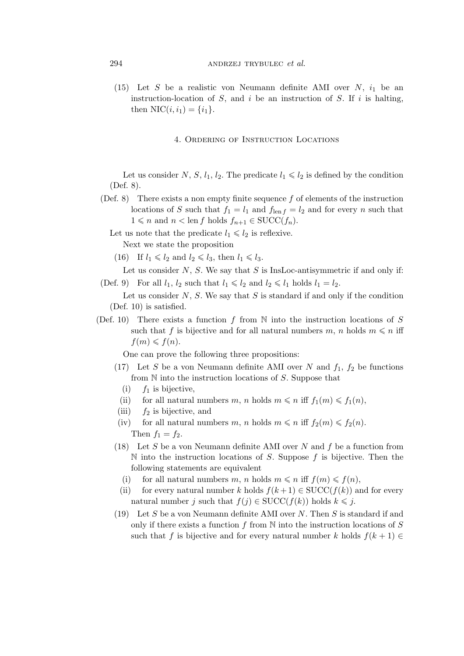(15) Let S be a realistic von Neumann definite AMI over  $N$ ,  $i_1$  be an instruction-location of  $S$ , and  $i$  be an instruction of  $S$ . If  $i$  is halting, then  $NIC(i, i_1) = \{i_1\}.$ 

#### 4. Ordering of Instruction Locations

Let us consider N, S,  $l_1$ ,  $l_2$ . The predicate  $l_1 \leq l_2$  is defined by the condition (Def. 8).

- (Def. 8) There exists a non empty finite sequence f of elements of the instruction locations of S such that  $f_1 = l_1$  and  $f_{\text{len }f} = l_2$  and for every n such that  $1 \leq n$  and  $n <$  len f holds  $f_{n+1} \in \text{SUCC}(f_n)$ .
	- Let us note that the predicate  $l_1 \leq l_2$  is reflexive.

Next we state the proposition

(16) If  $l_1 \leq l_2$  and  $l_2 \leq l_3$ , then  $l_1 \leq l_3$ .

Let us consider  $N$ ,  $S$ . We say that  $S$  is InsLoc-antisymmetric if and only if: (Def. 9) For all  $l_1$ ,  $l_2$  such that  $l_1 \leq l_2$  and  $l_2 \leq l_1$  holds  $l_1 = l_2$ .

Let us consider  $N$ ,  $S$ . We say that  $S$  is standard if and only if the condition (Def. 10) is satisfied.

(Def. 10) There exists a function f from  $\mathbb N$  into the instruction locations of S such that f is bijective and for all natural numbers m, n holds  $m \leq n$  iff  $f(m) \leqslant f(n)$ .

One can prove the following three propositions:

- (17) Let S be a von Neumann definite AMI over N and  $f_1, f_2$  be functions from  $N$  into the instruction locations of  $S$ . Suppose that
	- (i)  $f_1$  is bijective,
	- (ii) for all natural numbers m, n holds  $m \leq n$  iff  $f_1(m) \leq f_1(n)$ ,
- (iii)  $f_2$  is bijective, and
- (iv) for all natural numbers m, n holds  $m \leq n$  iff  $f_2(m) \leq f_2(n)$ . Then  $f_1 = f_2$ .
- (18) Let  $S$  be a von Neumann definite AMI over  $N$  and  $f$  be a function from N into the instruction locations of S. Suppose  $f$  is bijective. Then the following statements are equivalent
	- (i) for all natural numbers m, n holds  $m \leq n$  iff  $f(m) \leq f(n)$ ,
	- (ii) for every natural number k holds  $f(k+1) \in \text{SUCC}(f(k))$  and for every natural number j such that  $f(j) \in \text{SUCC}(f(k))$  holds  $k \leq j$ .
- (19) Let S be a von Neumann definite AMI over N. Then S is standard if and only if there exists a function  $f$  from  $N$  into the instruction locations of  $S$ such that f is bijective and for every natural number k holds  $f(k + 1) \in$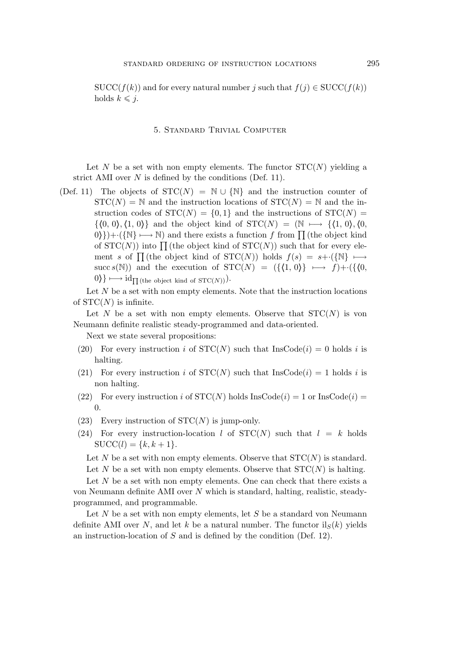$SUCC(f(k))$  and for every natural number j such that  $f(j) \in SUCC(f(k))$ holds  $k \leq j$ .

#### 5. Standard Trivial Computer

Let N be a set with non empty elements. The functor  $STC(N)$  yielding a strict AMI over  $N$  is defined by the conditions (Def. 11).

(Def. 11) The objects of  $STC(N) = \mathbb{N} \cup {\mathbb{N}}$  and the instruction counter of  $STC(N) = N$  and the instruction locations of  $STC(N) = N$  and the instruction codes of  $STC(N) = \{0, 1\}$  and the instructions of  $STC(N) =$  $\{(0, 0), (1, 0)\}\$  and the object kind of  $STC(N) = (N \rightarrow \{(1, 0), (0, 0)\})$ 0<sup>}</sup>)+·({N} → N) and there exists a function f from  $\prod$  (the object kind of  $STC(N)$  into  $\prod$  (the object kind of  $STC(N)$ ) such that for every element s of  $\prod$  (the object kind of STC(N)) holds  $f(s) = s + \cdot({N} \rightarrow \rightarrow)$ succ s(N)) and the execution of  $STC(N) = (\{(1, 0)\}\ \longmapsto f)+\cdot(\{(0, 0)\})$  $0$ }  $\longmapsto$  id<sub> $\Pi$ </sub> (the object kind of STC(N)).

Let  $N$  be a set with non empty elements. Note that the instruction locations of  $STC(N)$  is infinite.

Let N be a set with non empty elements. Observe that  $STC(N)$  is von Neumann definite realistic steady-programmed and data-oriented.

Next we state several propositions:

- (20) For every instruction i of  $STC(N)$  such that InsCode(i) = 0 holds i is halting.
- (21) For every instruction i of  $STC(N)$  such that  $InsCode(i) = 1$  holds i is non halting.
- (22) For every instruction i of  $STC(N)$  holds  $InsCode(i) = 1$  or  $InsCode(i) =$  $\Omega$ .
- (23) Every instruction of  $STC(N)$  is jump-only.
- (24) For every instruction-location l of  $STC(N)$  such that  $l = k$  holds  $SUCC(l) = \{k, k+1\}.$

Let N be a set with non empty elements. Observe that  $STC(N)$  is standard. Let N be a set with non empty elements. Observe that  $STC(N)$  is halting.

Let  $N$  be a set with non empty elements. One can check that there exists a von Neumann definite AMI over N which is standard, halting, realistic, steadyprogrammed, and programmable.

Let  $N$  be a set with non empty elements, let  $S$  be a standard von Neumann definite AMI over N, and let k be a natural number. The functor  $\text{il}_S(k)$  yields an instruction-location of S and is defined by the condition (Def. 12).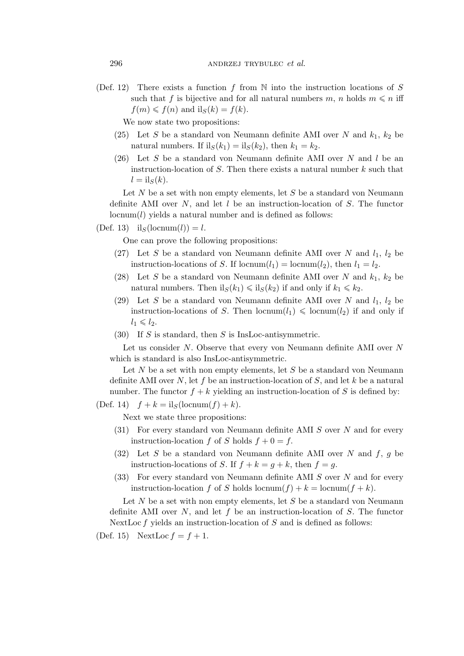(Def. 12) There exists a function f from  $\mathbb N$  into the instruction locations of S such that f is bijective and for all natural numbers m, n holds  $m \leq n$  iff  $f(m) \leq f(n)$  and  $il_S(k) = f(k)$ .

We now state two propositions:

- (25) Let S be a standard von Neumann definite AMI over N and  $k_1$ ,  $k_2$  be natural numbers. If  $il_S(k_1) = il_S(k_2)$ , then  $k_1 = k_2$ .
- (26) Let S be a standard von Neumann definite AMI over N and l be an instruction-location of  $S$ . Then there exists a natural number  $k$  such that  $l = \mathrm{il}_S(k)$ .

Let  $N$  be a set with non empty elements, let  $S$  be a standard von Neumann definite AMI over  $N$ , and let  $l$  be an instruction-location of  $S$ . The functor  $\mathrm{locnum}(l)$  yields a natural number and is defined as follows:

(Def. 13) il<sub>S</sub>(locnum(l)) = l.

One can prove the following propositions:

- (27) Let S be a standard von Neumann definite AMI over N and  $l_1$ ,  $l_2$  be instruction-locations of S. If locnum $(l_1)$  = locnum $(l_2)$ , then  $l_1 = l_2$ .
- (28) Let S be a standard von Neumann definite AMI over N and  $k_1$ ,  $k_2$  be natural numbers. Then  $il_S(k_1) \leqslant il_S(k_2)$  if and only if  $k_1 \leqslant k_2$ .
- (29) Let S be a standard von Neumann definite AMI over N and  $l_1$ ,  $l_2$  be instruction-locations of S. Then locnum $(l_1) \leq \text{locnum}(l_2)$  if and only if  $l_1 \leqslant l_2$ .
- (30) If S is standard, then S is InsLoc-antisymmetric.

Let us consider  $N$ . Observe that every von Neumann definite AMI over  $N$ which is standard is also InsLoc-antisymmetric.

Let  $N$  be a set with non empty elements, let  $S$  be a standard von Neumann definite AMI over N, let f be an instruction-location of S, and let k be a natural number. The functor  $f + k$  yielding an instruction-location of S is defined by:

(Def. 14)  $f + k = \text{il}_S(\text{locnum}(f) + k)$ .

Next we state three propositions:

- $(31)$  For every standard von Neumann definite AMI S over N and for every instruction-location f of S holds  $f + 0 = f$ .
- (32) Let S be a standard von Neumann definite AMI over N and  $f, g$  be instruction-locations of S. If  $f + k = g + k$ , then  $f = g$ .
- (33) For every standard von Neumann definite AMI S over N and for every instruction-location f of S holds locnum(f) + k = locnum(f + k).

Let  $N$  be a set with non empty elements, let  $S$  be a standard von Neumann definite AMI over  $N$ , and let  $f$  be an instruction-location of  $S$ . The functor NextLoc  $f$  yields an instruction-location of  $S$  and is defined as follows:

(Def. 15) NextLoc  $f = f + 1$ .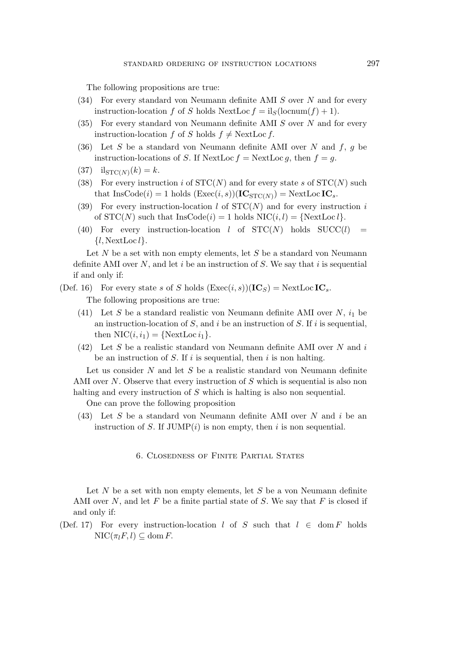The following propositions are true:

- $(34)$  For every standard von Neumann definite AMI S over N and for every instruction-location f of S holds NextLoc  $f = iS(\text{locnum}(f) + 1)$ .
- $(35)$  For every standard von Neumann definite AMI S over N and for every instruction-location f of S holds  $f \neq$  NextLoc f.
- (36) Let S be a standard von Neumann definite AMI over N and  $f, g$  be instruction-locations of S. If NextLoc  $f =$ NextLoc  $g$ , then  $f = g$ .
- (37)  $il_{STC(N)}(k) = k.$
- (38) For every instruction i of  $STC(N)$  and for every state s of  $STC(N)$  such that  $\text{InsCode}(i) = 1 \text{ holds } (\text{Exec}(i, s))(\text{IC}_{\text{STC}(N)}) = \text{NextLocIC}_s.$
- (39) For every instruction-location l of  $STC(N)$  and for every instruction i of  $STC(N)$  such that  $InsCode(i) = 1$  holds  $NIC(i, l) = \{NextLoc\}$ .
- (40) For every instruction-location l of  $STC(N)$  holds  $SUCC(l)$ *{*l, NextLoc l*}*.

Let  $N$  be a set with non empty elements, let  $S$  be a standard von Neumann definite AMI over  $N$ , and let i be an instruction of  $S$ . We say that i is sequential if and only if:

- (Def. 16) For every state s of S holds  $(Exec(i, s))(IC_S) = NextLocIC_s$ . The following propositions are true:
	- (41) Let S be a standard realistic von Neumann definite AMI over  $N$ ,  $i_1$  be an instruction-location of  $S$ , and  $i$  be an instruction of  $S$ . If  $i$  is sequential, then  $NIC(i, i_1) = \{NextLoc i_1\}.$
	- (42) Let S be a realistic standard von Neumann definite AMI over N and i be an instruction of  $S$ . If i is sequential, then i is non halting.

Let us consider  $N$  and let  $S$  be a realistic standard von Neumann definite AMI over N. Observe that every instruction of S which is sequential is also non halting and every instruction of S which is halting is also non sequential.

One can prove the following proposition

(43) Let S be a standard von Neumann definite AMI over N and i be an instruction of S. If  $JUMP(i)$  is non empty, then i is non sequential.

## 6. Closedness of Finite Partial States

Let  $N$  be a set with non empty elements, let  $S$  be a von Neumann definite AMI over  $N$ , and let  $F$  be a finite partial state of  $S$ . We say that  $F$  is closed if and only if:

(Def. 17) For every instruction-location l of S such that  $l \in \text{dom } F$  holds  $\text{NIC}(\pi_l F, l) \subseteq \text{dom } F.$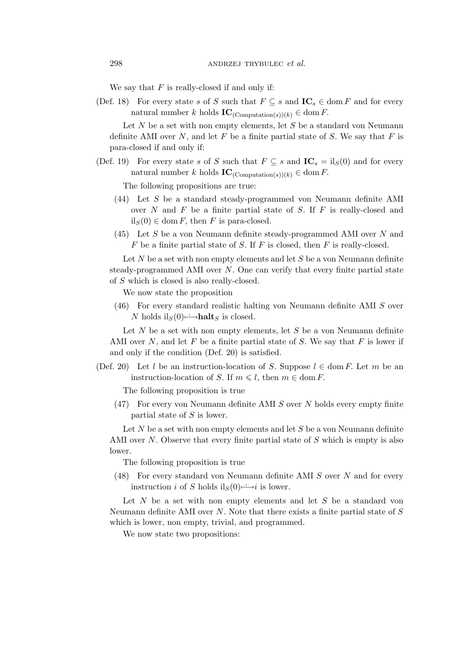We say that  $F$  is really-closed if and only if:

(Def. 18) For every state s of S such that  $F \subseteq s$  and  $\mathbf{IC}_s \in \text{dom } F$  and for every natural number k holds  $IC_{(Computation(s))(k)} \in \text{dom } F$ .

Let  $N$  be a set with non empty elements, let  $S$  be a standard von Neumann definite AMI over  $N$ , and let  $F$  be a finite partial state of  $S$ . We say that  $F$  is para-closed if and only if:

(Def. 19) For every state s of S such that  $F \subseteq s$  and  $\text{IC}_s = \text{il}_S(0)$  and for every natural number k holds  $IC_{(Computation(s))(k)} \in \text{dom } F$ .

The following propositions are true:

- (44) Let S be a standard steady-programmed von Neumann definite AMI over  $N$  and  $F$  be a finite partial state of  $S$ . If  $F$  is really-closed and  $il_S(0) \in \text{dom } F$ , then F is para-closed.
- $(45)$  Let S be a von Neumann definite steady-programmed AMI over N and  $F$  be a finite partial state of  $S$ . If  $F$  is closed, then  $F$  is really-closed.

Let  $N$  be a set with non empty elements and let  $S$  be a von Neumann definite steady-programmed AMI over  $N$ . One can verify that every finite partial state of S which is closed is also really-closed.

We now state the proposition

(46) For every standard realistic halting von Neumann definite AMI S over N holds il<sub>S</sub> $(0)$   $\rightarrow$ **halt**<sub>S</sub> is closed.

Let  $N$  be a set with non empty elements, let  $S$  be a von Neumann definite AMI over  $N$ , and let  $F$  be a finite partial state of  $S$ . We say that  $F$  is lower if and only if the condition (Def. 20) is satisfied.

(Def. 20) Let l be an instruction-location of S. Suppose  $l \in \text{dom } F$ . Let m be an instruction-location of S. If  $m \le l$ , then  $m \in \text{dom } F$ .

The following proposition is true

(47) For every von Neumann definite AMI S over N holds every empty finite partial state of S is lower.

Let  $N$  be a set with non empty elements and let  $S$  be a von Neumann definite AMI over  $N$ . Observe that every finite partial state of  $S$  which is empty is also lower.

The following proposition is true

(48) For every standard von Neumann definite AMI S over N and for every instruction *i* of S holds  $il_S(0) \rightarrow i$  is lower.

Let  $N$  be a set with non empty elements and let  $S$  be a standard von Neumann definite AMI over  $N$ . Note that there exists a finite partial state of  $S$ which is lower, non empty, trivial, and programmed.

We now state two propositions: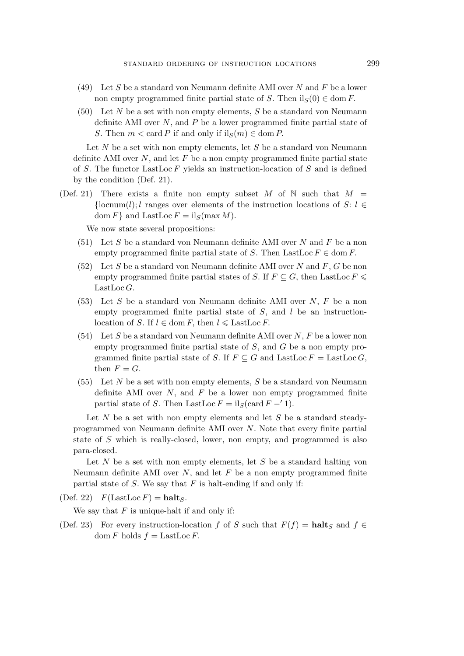- (49) Let S be a standard von Neumann definite AMI over N and F be a lower non empty programmed finite partial state of S. Then  $il_S(0) \in \text{dom } F$ .
- $(50)$  Let N be a set with non empty elements, S be a standard von Neumann definite AMI over  $N$ , and  $P$  be a lower programmed finite partial state of S. Then  $m < \text{card } P$  if and only if  $\text{il}_S(m) \in \text{dom } P$ .

Let  $N$  be a set with non empty elements, let  $S$  be a standard von Neumann definite AMI over  $N$ , and let  $F$  be a non empty programmed finite partial state of S. The functor LastLoc  $F$  yields an instruction-location of  $S$  and is defined by the condition (Def. 21).

(Def. 21) There exists a finite non empty subset M of N such that  $M =$ *{*locnum(l); l ranges over elements of the instruction locations of S: l *∈* dom F } and LastLoc  $F = \text{il}_S(\max M)$ .

We now state several propositions:

- $(51)$  Let S be a standard von Neumann definite AMI over N and F be a non empty programmed finite partial state of S. Then LastLoc  $F \in \text{dom } F$ .
- (52) Let S be a standard von Neumann definite AMI over N and F, G be non empty programmed finite partial states of S. If  $F \subseteq G$ , then LastLoc  $F \leq$ LastLoc  $G$ .
- (53) Let S be a standard von Neumann definite AMI over  $N, F$  be a non empty programmed finite partial state of  $S$ , and  $l$  be an instructionlocation of S. If  $l \in \text{dom } F$ , then  $l \leq \text{LastLoc } F$ .
- (54) Let S be a standard von Neumann definite AMI over  $N, F$  be a lower non empty programmed finite partial state of S, and G be a non empty programmed finite partial state of S. If  $F \subseteq G$  and LastLoc  $F =$  LastLoc  $G$ , then  $F = G$ .
- $(55)$  Let N be a set with non empty elements, S be a standard von Neumann definite AMI over  $N$ , and  $F$  be a lower non empty programmed finite partial state of S. Then LastLoc  $F = \text{il}_S(\text{card } F - \hat{i})$ .

Let  $N$  be a set with non empty elements and let  $S$  be a standard steadyprogrammed von Neumann definite AMI over N. Note that every finite partial state of S which is really-closed, lower, non empty, and programmed is also para-closed.

Let  $N$  be a set with non empty elements, let  $S$  be a standard halting von Neumann definite AMI over  $N$ , and let  $F$  be a non empty programmed finite partial state of  $S$ . We say that  $F$  is halt-ending if and only if:

(Def. 22)  $F(\text{LastLoc } F) = \text{halt}_S$ .

We say that  $F$  is unique-halt if and only if:

(Def. 23) For every instruction-location f of S such that  $F(f) = \textbf{halt}_S$  and  $f \in$ dom F holds  $f =$  LastLoc F.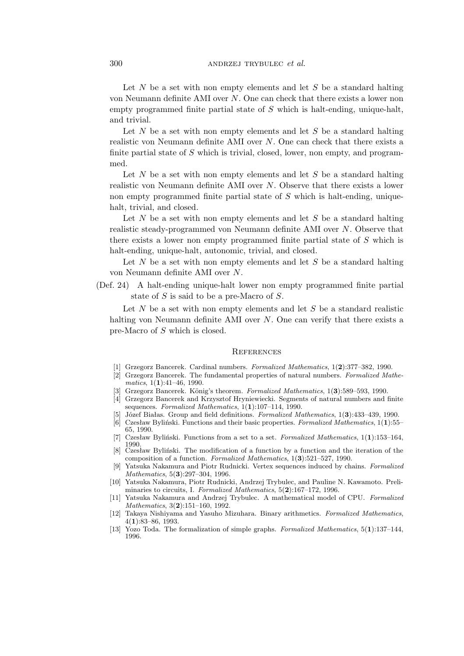Let  $N$  be a set with non empty elements and let  $S$  be a standard halting von Neumann definite AMI over N. One can check that there exists a lower non empty programmed finite partial state of  $S$  which is halt-ending, unique-halt, and trivial.

Let  $N$  be a set with non empty elements and let  $S$  be a standard halting realistic von Neumann definite AMI over  $N$ . One can check that there exists a finite partial state of  $S$  which is trivial, closed, lower, non empty, and programmed.

Let  $N$  be a set with non empty elements and let  $S$  be a standard halting realistic von Neumann definite AMI over N. Observe that there exists a lower non empty programmed finite partial state of  $S$  which is halt-ending, uniquehalt, trivial, and closed.

Let  $N$  be a set with non empty elements and let  $S$  be a standard halting realistic steady-programmed von Neumann definite AMI over N. Observe that there exists a lower non empty programmed finite partial state of S which is halt-ending, unique-halt, autonomic, trivial, and closed.

Let  $N$  be a set with non empty elements and let  $S$  be a standard halting von Neumann definite AMI over N.

(Def. 24) A halt-ending unique-halt lower non empty programmed finite partial state of S is said to be a pre-Macro of S.

Let  $N$  be a set with non empty elements and let  $S$  be a standard realistic halting von Neumann definite AMI over N. One can verify that there exists a pre-Macro of S which is closed.

#### **REFERENCES**

- [1] Grzegorz Bancerek. Cardinal numbers. *Formalized Mathematics*, 1(**2**):377–382, 1990.
- [2] Grzegorz Bancerek. The fundamental properties of natural numbers. *Formalized Mathematics*, 1(**1**):41–46, 1990.
- [3] Grzegorz Bancerek. König's theorem. *Formalized Mathematics*,  $1(3):589-593$ , 1990.
- [4] Grzegorz Bancerek and Krzysztof Hryniewiecki. Segments of natural numbers and finite sequences. *Formalized Mathematics*, 1(**1**):107–114, 1990.
- [5] Józef Białas. Group and field definitions. *Formalized Mathematics*, 1(**3**):433–439, 1990.
- [6] Czesław Byliński. Functions and their basic properties. *Formalized Mathematics*, 1(**1**):55– 65, 1990.
- [7] Czesław Byliński. Functions from a set to a set. *Formalized Mathematics*, 1(**1**):153–164, 1990.
- [8] Czesław Byliński. The modification of a function by a function and the iteration of the composition of a function. *Formalized Mathematics*, 1(**3**):521–527, 1990.
- [9] Yatsuka Nakamura and Piotr Rudnicki. Vertex sequences induced by chains. *Formalized Mathematics*, 5(**3**):297–304, 1996.
- [10] Yatsuka Nakamura, Piotr Rudnicki, Andrzej Trybulec, and Pauline N. Kawamoto. Preliminaries to circuits, I. *Formalized Mathematics*, 5(**2**):167–172, 1996.
- [11] Yatsuka Nakamura and Andrzej Trybulec. A mathematical model of CPU. *Formalized Mathematics*, 3(**2**):151–160, 1992.
- [12] Takaya Nishiyama and Yasuho Mizuhara. Binary arithmetics. *Formalized Mathematics*, 4(**1**):83–86, 1993.
- [13] Yozo Toda. The formalization of simple graphs. *Formalized Mathematics*, 5(**1**):137–144, 1996.